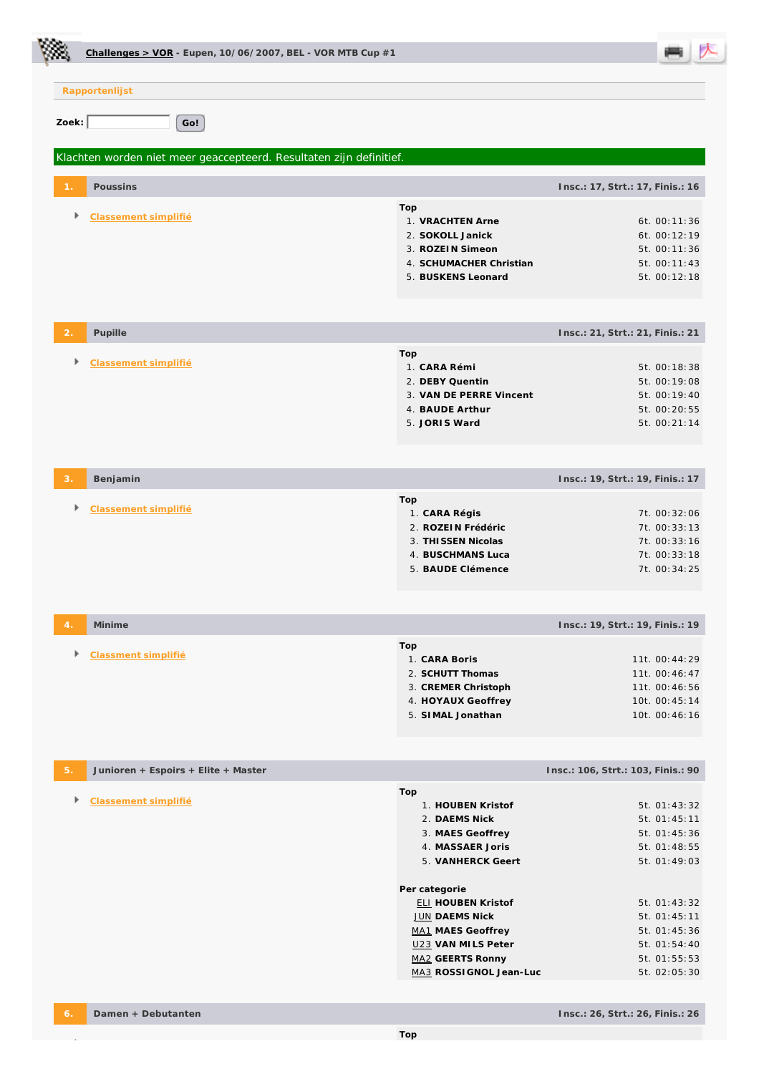|                  | Challenges > VOR - Eupen, $10/06/2007$ , BEL - VOR MTB Cup #1       |                                                                                                                                                                                                                                                                         |                                                                                                                                                                              |
|------------------|---------------------------------------------------------------------|-------------------------------------------------------------------------------------------------------------------------------------------------------------------------------------------------------------------------------------------------------------------------|------------------------------------------------------------------------------------------------------------------------------------------------------------------------------|
|                  | Rapportenlijst                                                      |                                                                                                                                                                                                                                                                         |                                                                                                                                                                              |
| Zoek:            | Go!                                                                 |                                                                                                                                                                                                                                                                         |                                                                                                                                                                              |
|                  | Klachten worden niet meer geaccepteerd. Resultaten zijn definitief. |                                                                                                                                                                                                                                                                         |                                                                                                                                                                              |
|                  | Poussins                                                            |                                                                                                                                                                                                                                                                         | Insc.: 17, Strt.: 17, Finis.: 16                                                                                                                                             |
| Þ.               | Classement simplifié                                                | Top<br>1. VRACHTEN Arne<br>2. SOKOLL Janick<br>3. ROZEIN Simeon<br>4. SCHUMACHER Christian<br>5. BUSKENS Leonard                                                                                                                                                        | 6t. 00:11:36<br>6t. 00:12:19<br>5t. 00:11:36<br>5t. 00:11:43<br>5t. 00:12:18                                                                                                 |
| 2                | Pupille                                                             |                                                                                                                                                                                                                                                                         | Insc.: 21, Strt.: 21, Finis.: 21                                                                                                                                             |
|                  | Classement simplifié                                                | Top<br>1. CARA Rémi<br>2. DEBY Quentin<br>3. VAN DE PERRE Vincent<br>4. BAUDE Arthur<br>5. JORIS Ward                                                                                                                                                                   | 5t. 00:18:38<br>5t. 00:19:08<br>5t. 00:19:40<br>5t. 00:20:55<br>5t. 00:21:14                                                                                                 |
| 3.               | Benjamin                                                            |                                                                                                                                                                                                                                                                         | Insc.: 19, Strt.: 19, Finis.: 17                                                                                                                                             |
|                  | Classement simplifié                                                | Top<br>1. CARA Régis<br>2. ROZEIN Frédéric<br>3. THISSEN Nicolas<br>4. BUSCHMANS Luca<br>5. BAUDE Clémence                                                                                                                                                              | 7t. 00:32:06<br>7t. 00:33:13<br>7t. 00:33:16<br>7t. 00:33:18<br>7t. 00:34:25                                                                                                 |
| $\overline{4}$ . | Minime                                                              |                                                                                                                                                                                                                                                                         | Insc.: 19, Strt.: 19, Finis.: 19                                                                                                                                             |
| Þ.               | Classment simplifié                                                 | Top<br>1. CARA Boris<br>2. SCHUTT Thomas<br>3. CREMER Christoph<br>4. HOYAUX Geoffrey<br>5. SIMAL Jonathan                                                                                                                                                              | 11t. 00:44:29<br>11t. 00:46:47<br>11t. 00:46:56<br>10t. 00:45:14<br>10t. 00:46:16                                                                                            |
| 5.               | Junioren + Espoirs + Elite + Master                                 |                                                                                                                                                                                                                                                                         | Insc.: 106, Strt.: 103, Finis.: 90                                                                                                                                           |
| Þ.               | Classement simplifié                                                | Top<br>1. HOUBEN Kristof<br>2. DAEMS Nick<br>3. MAES Geoffrey<br>4. MASSAER Joris<br>5. VANHERCK Geert<br>Per categorie<br><b>ELI HOUBEN Kristof</b><br><b>JUN DAEMS Nick</b><br>MA1 MAES Geoffrey<br>U23 VAN MILS Peter<br>MA2 GEERTS Ronny<br>MA3 ROSSI GNOL Jean-Luc | 5t. 01:43:32<br>5t. 01:45:11<br>5t. 01:45:36<br>5t. 01:48:55<br>5t. 01:49:03<br>5t. 01:43:32<br>5t. 01:45:11<br>5t. 01:45:36<br>5t. 01:54:40<br>5t. 01:55:53<br>5t. 02:05:30 |